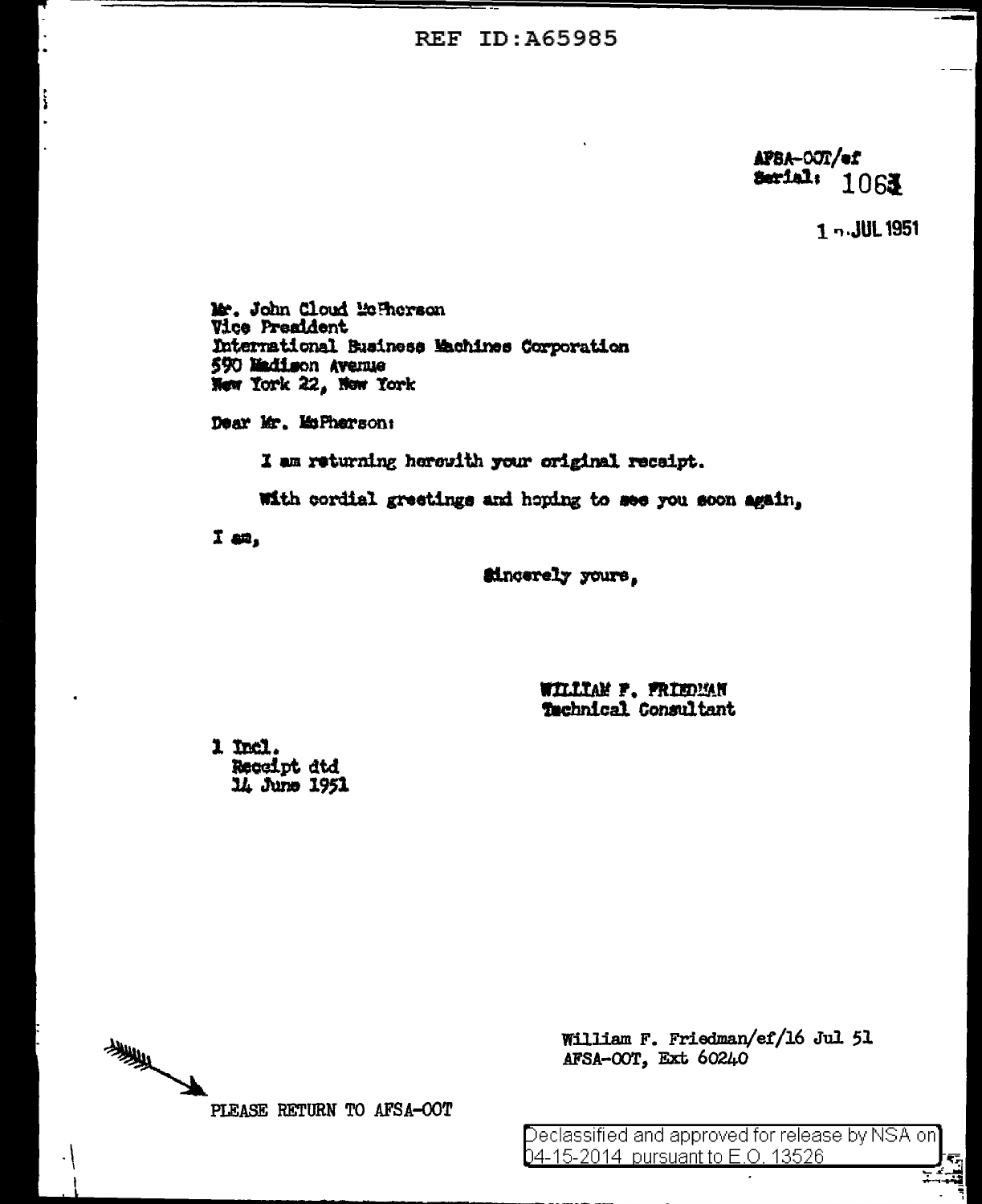**REF ID: A65985** 

APBA-OOT/ef Serial: 1061

1 n. JUL 1951

Mr. John Cloud Mc Therson **Vice President** International Business Machines Corporation 590 Madison Avenue New York 22, Now York

Dear Mr. MsPherson:

I am returning herewith your original receipt.

With cordial greetings and hoping to see you soon again,

 $I$  an,

**Sincerely** yours,

WILLIAM F. FRIEDMAN Technical Consultant

1 Incl. Receipt dtd 14 June 1951

美 PLEASE RETURN TO AFSA-OOT

William F. Friedman/ef/16 Jul 51 AFSA-OOT, Ext 60240

Declassified and approved for release by NSA on 04-15-2014 pursuant to E.O. 13526